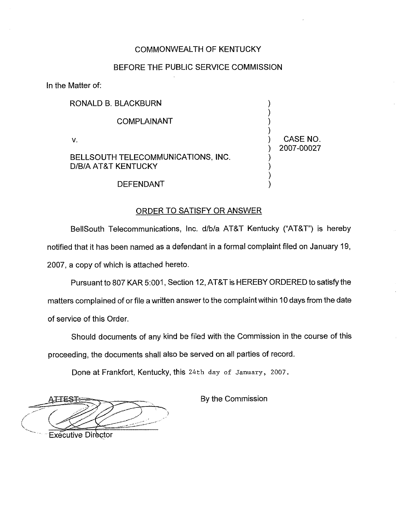## COMMONWEALTH OF KENTUCKY

### BEFORE THE PUBLIC SERVICE COMMISSION

In the Matter of:

| RONALD B. BLACKBURN                                       |                        |
|-----------------------------------------------------------|------------------------|
| <b>COMPLAINANT</b>                                        |                        |
| ν.                                                        | CASE NO.<br>2007-00027 |
| BELLSOUTH TELECOMMUNICATIONS, INC.<br>D/B/A AT&T KENTUCKY |                        |
| <b>DEFENDANT</b>                                          |                        |

#### ORDER TO SAT!SFY OR ANSWER

BellSouth Telecommunications, Inc. d/b/a AT8T Kentucky ("AT&T") is hereby notified that it has been named as a defendant in a formal complaint filed on January 19, 2007, a copy of which is attached hereto.

Pursuant to 807 KAR 5:001, Section 12, AT&T is HEREBY ORDERED to satisfy the matters complained of or file a written answer to the complaint within 10days from the date of service of this Order.

Should documents of any kind be filed with the Commission in the course of this proceeding, the documents shall also be served on all parties of record.

Done at Frankfort, Kentucky, this 24th day of January, 2007.

Executive Director

By the Commission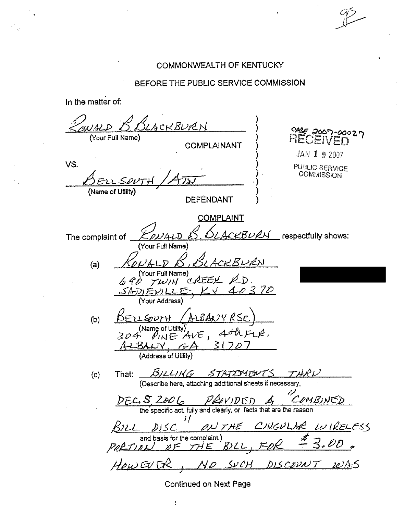## COMMONWEALTH OF KENTUCKY

# BEFORE THE PUBLIC SERVICE COMMISSION

In the matter of:

<u>SLACKBURN</u> SASE 2007-00027 (Your Full Name) COMPLAINANT **JAN 1 9 2007** VS. PUBLIC SERVICE COMMISSION (Name of Utility) **DEFENDANT COMPLAINT** CKBULN respectfully shows: The complaint of (Your Full Name) ACKBURN  $(a)$ (Your Full Name) UREEK TWIN lo 9 D  $7*D*$ <u> SADIEVILLE</u> (Your Address)  $B$ FILSOUTH  $(b)$  $\overline{304}$  (Name of Utility)<br> $304$   $\rho_{1N}$   $\overline{E}$   $\overline{A}$   $\sqrt{E}$ ,  $4dhF(R)$  $\frac{\angle B\land \angle V, \quad \angle A}{(\text{Address of Utility})}$ That:  $\frac{\beta/2L/1\sqrt{G}}{\beta}$  STATIVENTS THE (Describe here, attaching additional sheets if necessary, TARV  $(c)$ DEC, S, 2006 PROVIDED A COM UMBINED <u>BILL DISC<sup>"</sup></u> ON THE CINGVLAR WIRELESS<br>and basis for the complaint)<br>PORTION OF THE BILL, FOR - 3.00. , ND SVCH DISCOVNT WAS HOWEVER

**Continued on Next Page**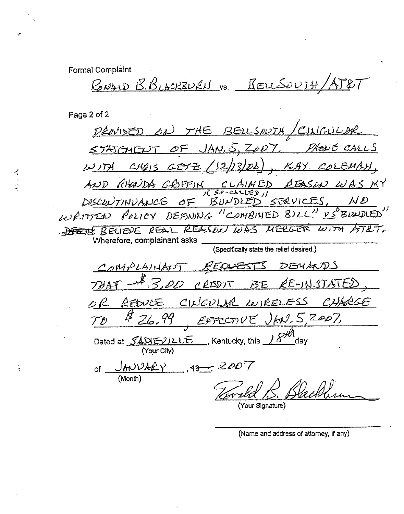**Formal Complaint** 

<u>RONALD B. BLACKEVEN</u> VS. REUSOUTH/ATET

Page 2 of 2

и,

ģ

Ĵ,

DENVIDED ON THE BELLSOUTH/CINGULAR STATEMENT OF JAN, 5, ZOOT. PHONE CALLS WITH CHRIS GETZ (12/13/06), KAY COLEMAN, AND RHONDA GRIFFIN CLAIMED REASON WAS MY DISCONTINUANCE OF BUNDLED STRUICES, ND DEETH BELIEVE REAL REESSEN WAS MERCERE WITH ATRIT, Wherefore, complainant asks (Specifically state the relief desired.) COMPLAINANT REQUESTS DEMANDS THAT - 2,00 CREDIT BE RE-INSTATED OR REDUCE CINGULAR WIRELESS CHARGE 26.99, EFFECTIVE JAN. 5,2007,  $\mathcal{T}\mathcal{D}$ Dated at  $\underline{\text{SAPE}}$  $\overline{\text{Vour City}}}$ , Kentucky, this  $\underline{\text{S}}$  $\overline{\text{S}}$  day of  $J_{\text{MULAFY}}$ ,  $497$ ,  $2007$ Dockle

(Your Signature)

(Name and address of attorney, if any)